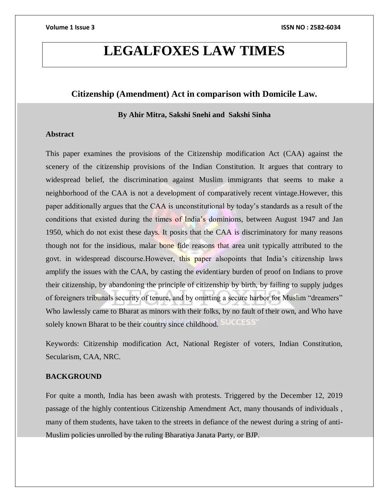## **LEGALFOXES LAW TIMES**

### **Citizenship (Amendment) Act in comparison with Domicile Law.**

### **By Ahir Mitra, Sakshi Snehi and Sakshi Sinha**

### **Abstract**

This paper examines the provisions of the Citizenship modification Act (CAA) against the scenery of the citizenship provisions of the Indian Constitution. It argues that contrary to widespread belief, the discrimination against Muslim immigrants that seems to make a neighborhood of the CAA is not a development of comparatively recent vintage.However, this paper additionally argues that the CAA is unconstitutional by today's standards as a result of the conditions that existed during the times of India's dominions, between August 1947 and Jan 1950, which do not exist these days. It posits that the CAA is discriminatory for many reasons though not for the insidious, malar bone fide reasons that area unit typically attributed to the govt. in widespread discourse.However, this paper alsopoints that India's citizenship laws amplify the issues with the CAA, by casting the evidentiary burden of proof on Indians to prove their citizenship, by abandoning the principle of citizenship by birth, by failing to supply judges of foreigners tribunals security of tenure, and by omitting a secure harbor for Muslim "dreamers" Who lawlessly came to Bharat as minors with their folks, by no fault of their own, and Who have solely known Bharat to be their country since childhood.

Keywords: Citizenship modification Act, National Register of voters, Indian Constitution, Secularism, CAA, NRC.

### **BACKGROUND**

For quite a month, India has been awash with protests. Triggered by the December 12, 2019 passage of the highly contentious Citizenship Amendment Act, many thousands of individuals , many of them students, have taken to the streets in defiance of the newest during a string of anti-Muslim policies unrolled by the ruling Bharatiya Janata Party, or BJP.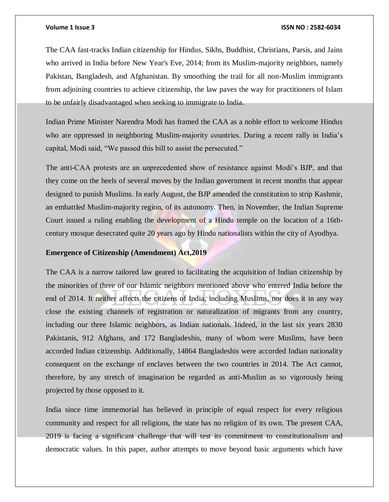The CAA fast-tracks Indian citizenship for Hindus, Sikhs, Buddhist, Christians, Parsis, and Jains who arrived in India before New Year's Eve, 2014; from its Muslim-majority neighbors, namely Pakistan, Bangladesh, and Afghanistan. By smoothing the trail for all non-Muslim immigrants from adjoining countries to achieve citizenship, the law paves the way for practitioners of Islam to be unfairly disadvantaged when seeking to immigrate to India.

Indian Prime Minister Narendra Modi has framed the CAA as a noble effort to welcome Hindus who are oppressed in neighboring Muslim-majority countries. During a recent rally in India's capital, Modi said, "We passed this bill to assist the persecuted."

The anti-CAA protests are an unprecedented show of resistance against Modi's BJP, and that they come on the heels of several moves by the Indian government in recent months that appear designed to punish Muslims. In early August, the BJP amended the constitution to strip Kashmir, an embattled Muslim-majority region, of its autonomy. Then, in November, the Indian Supreme Court issued a ruling enabling the development of a Hindu temple on the location of a 16thcentury mosque desecrated quite 20 years ago by Hindu nationalists within the city of Ayodhya.

### **Emergence of Citizenship (Amendment) Act,2019**

The CAA is a narrow tailored law geared to facilitating the acquisition of Indian citizenship by the minorities of three of our Islamic neighbors mentioned above who entered India before the end of 2014. It neither affects the citizens of India, including Muslims, nor does it in any way close the existing channels of registration or naturalization of migrants from any country, including our three Islamic neighbors, as Indian nationals. Indeed, in the last six years 2830 Pakistanis, 912 Afghans, and 172 Bangladeshis, many of whom were Muslims, have been accorded Indian citizenship. Additionally, 14864 Bangladeshis were accorded Indian nationality consequent on the exchange of enclaves between the two countries in 2014. The Act cannot, therefore, by any stretch of imagination be regarded as anti-Muslim as so vigorously being projected by those opposed to it.

India since time immemorial has believed in principle of equal respect for every religious community and respect for all religions, the state has no religion of its own. The present CAA, 2019 is facing a significant challenge that will test its commitment to constitutionalism and democratic values. In this paper, author attempts to move beyond basic arguments which have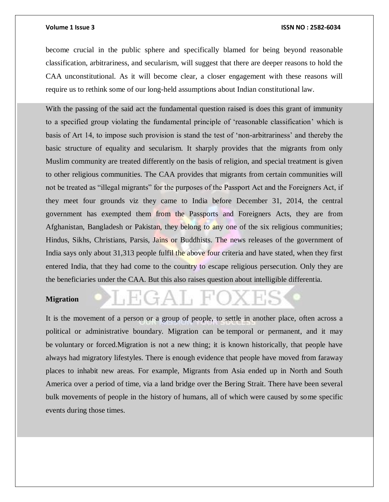become crucial in the public sphere and specifically blamed for being beyond reasonable classification, arbitrariness, and secularism, will suggest that there are deeper reasons to hold the CAA unconstitutional. As it will become clear, a closer engagement with these reasons will require us to rethink some of our long-held assumptions about Indian constitutional law.

With the passing of the said act the fundamental question raised is does this grant of immunity to a specified group violating the fundamental principle of 'reasonable classification' which is basis of Art 14, to impose such provision is stand the test of 'non-arbitrariness' and thereby the basic structure of equality and secularism. It sharply provides that the migrants from only Muslim community are treated differently on the basis of religion, and special treatment is given to other religious communities. The CAA provides that migrants from certain communities will not be treated as "illegal migrants" for the purposes of the Passport Act and the Foreigners Act, if they meet four grounds viz they came to India before December 31, 2014, the central government has exempted them from the Passports and Foreigners Acts, they are from Afghanistan, Bangladesh or Pakistan, they belong to any one of the six religious communities; Hindus, Sikhs, Christians, Parsis, Jains or Buddhists. The news releases of the government of India says only about 31,313 people fulfil the above four criteria and have stated, when they first entered India, that they had come to the country to escape religious persecution. Only they are the beneficiaries under the CAA. But this also raises question about intelligible differentia.

### **Migration**

It is the movement of a person or a group of people, to settle in another place, often across a political or administrative boundary. Migration can be temporal or permanent, and it may be voluntary or forced.Migration is not a new thing; it is known historically, that people have always had migratory lifestyles. There is enough evidence that people have moved from faraway places to inhabit new areas. For example, Migrants from Asia ended up in North and South America over a period of time, via a land bridge over the Bering Strait. There have been several bulk movements of people in the history of humans, all of which were caused by some specific events during those times.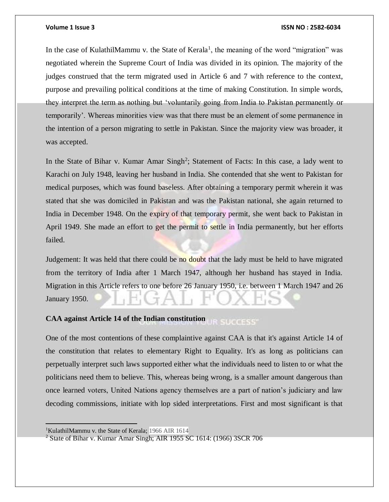In the case of KulathilMammu v. the State of Kerala<sup>1</sup>, the meaning of the word "migration" was negotiated wherein the Supreme Court of India was divided in its opinion. The majority of the judges construed that the term migrated used in Article 6 and 7 with reference to the context, purpose and prevailing political conditions at the time of making Constitution. In simple words, they interpret the term as nothing but 'voluntarily going from India to Pakistan permanently or temporarily'. Whereas minorities view was that there must be an element of some permanence in the intention of a person migrating to settle in Pakistan. Since the majority view was broader, it was accepted.

In the State of Bihar v. Kumar Amar Singh<sup>2</sup>; Statement of Facts: In this case, a lady went to Karachi on July 1948, leaving her husband in India. She contended that she went to Pakistan for medical purposes, which was found baseless. After obtaining a temporary permit wherein it was stated that she was domiciled in Pakistan and was the Pakistan national, she again returned to India in December 1948. On the expiry of that temporary permit, she went back to Pakistan in April 1949. She made an effort to get the permit to settle in India permanently, but her efforts failed.

Judgement: It was held that there could be no doubt that the lady must be held to have migrated from the territory of India after 1 March 1947, although her husband has stayed in India. Migration in this Article refers to one before 26 January 1950, i.e. between 1 March 1947 and 26 January 1950.

#### **CAA against Article 14 of the Indian constitution SUCCESS**

One of the most contentions of these complaintive against CAA is that it's against Article 14 of the constitution that relates to elementary Right to Equality. It's as long as politicians can perpetually interpret such laws supported either what the individuals need to listen to or what the politicians need them to believe. This, whereas being wrong, is a smaller amount dangerous than once learned voters, United Nations agency themselves are a part of nation's judiciary and law decoding commissions, initiate with lop sided interpretations. First and most significant is that

 $\overline{a}$ 

<sup>&</sup>lt;sup>1</sup>KulathilMammu v. the State of Kerala; 1966 AIR 1614

 $2$  State of Bihar v. Kumar Amar Singh; AIR 1955 SC 1614: (1966) 3SCR 706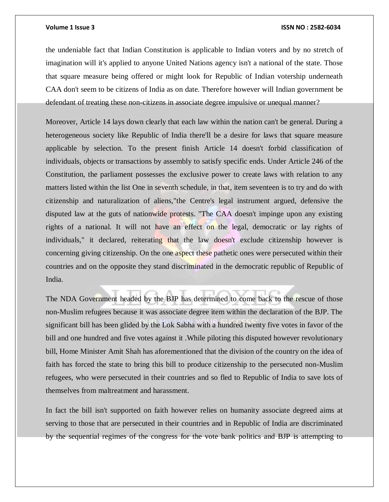the undeniable fact that Indian Constitution is applicable to Indian voters and by no stretch of imagination will it's applied to anyone United Nations agency isn't a national of the state. Those that square measure being offered or might look for Republic of Indian votership underneath CAA don't seem to be citizens of India as on date. Therefore however will Indian government be defendant of treating these non-citizens in associate degree impulsive or unequal manner?

Moreover, Article 14 lays down clearly that each law within the nation can't be general. During a heterogeneous society like Republic of India there'll be a desire for laws that square measure applicable by selection. To the present finish Article 14 doesn't forbid classification of individuals, objects or transactions by assembly to satisfy specific ends. Under Article 246 of the Constitution, the parliament possesses the exclusive power to create laws with relation to any matters listed within the list One in seventh schedule, in that, item seventeen is to try and do with citizenship and naturalization of aliens,"the Centre's legal instrument argued, defensive the disputed law at the guts of nationwide protests. "The CAA doesn't impinge upon any existing rights of a national. It will not have an effect on the legal, democratic or lay rights of individuals," it declared, reiterating that the law doesn't exclude citizenship however is concerning giving citizenship. On the one aspect these pathetic ones were persecuted within their countries and on the opposite they stand discriminated in the democratic republic of Republic of India.

The NDA Government headed by the BJP has determined to come back to the rescue of those non-Muslim refugees because it was associate degree item within the declaration of the BJP. The significant bill has been glided by the Lok Sabha with a hundred twenty five votes in favor of the bill and one hundred and five votes against it .While piloting this disputed however revolutionary bill, Home Minister Amit Shah has aforementioned that the division of the country on the idea of faith has forced the state to bring this bill to produce citizenship to the persecuted non-Muslim refugees, who were persecuted in their countries and so fled to Republic of India to save lots of themselves from maltreatment and harassment.

In fact the bill isn't supported on faith however relies on humanity associate degreed aims at serving to those that are persecuted in their countries and in Republic of India are discriminated by the sequential regimes of the congress for the vote bank politics and BJP is attempting to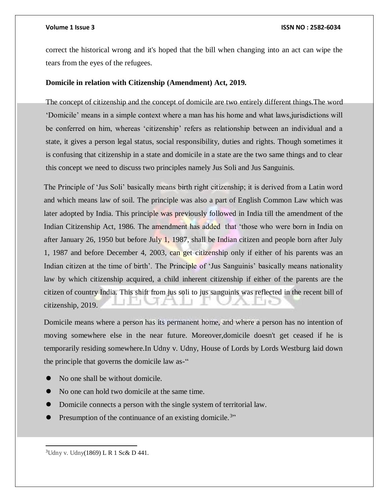correct the historical wrong and it's hoped that the bill when changing into an act can wipe the tears from the eyes of the refugees.

### **Domicile in relation with Citizenship (Amendment) Act, 2019.**

The concept of citizenship and the concept of domicile are two entirely different things.The word 'Domicile' means in a simple context where a man has his home and what laws,jurisdictions will be conferred on him, whereas 'citizenship' refers as relationship between an individual and a state, it gives a person legal status, social responsibility, duties and rights. Though sometimes it is confusing that citizenship in a state and domicile in a state are the two same things and to clear this concept we need to discuss two principles namely Jus Soli and Jus Sanguinis.

The Principle of 'Jus Soli' basically means birth right citizenship; it is derived from a Latin word and which means law of soil. The principle was also a part of English Common Law which was later adopted by India. This principle was previously followed in India till the amendment of the Indian Citizenship Act, 1986. The amendment has added that 'those who were born in India on after January 26, 1950 but before July 1, 1987, shall be Indian citizen and people born after July 1, 1987 and before December 4, 2003, can get citizenship only if either of his parents was an Indian citizen at the time of birth'. The Principle of 'Jus Sanguinis' basically means nationality law by which citizenship acquired, a child inherent citizenship if either of the parents are the citizen of country India. This shift from jus soli to jus sanguinis was reflected in the recent bill of citizenship, 2019.

Domicile means where a person has its permanent home, and where a person has no intention of moving somewhere else in the near future. Moreover,domicile doesn't get ceased if he is temporarily residing somewhere.In Udny v. Udny, House of Lords by Lords Westburg laid down the principle that governs the domicile law as-"

- No one shall be without domicile.
- No one can hold two domicile at the same time.
- Domicile connects a person with the single system of territorial law.
- Presumption of the continuance of an existing domicile.<sup>3</sup>"

<sup>3</sup>Udny v. Udny(1869) L R 1 Sc& D 441.

 $\overline{a}$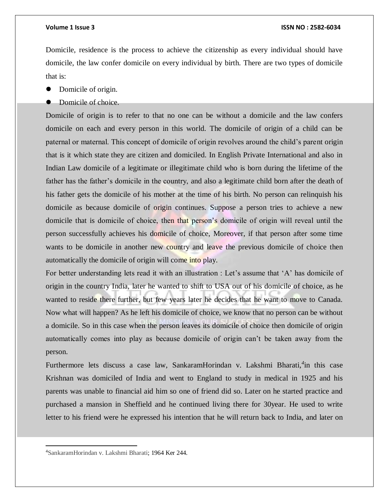Domicile, residence is the process to achieve the citizenship as every individual should have domicile, the law confer domicile on every individual by birth. There are two types of domicile that is:

- Domicile of origin.
- Domicile of choice.

Domicile of origin is to refer to that no one can be without a domicile and the law confers domicile on each and every person in this world. The domicile of origin of a child can be paternal or maternal. This concept of domicile of origin revolves around the child's parent origin that is it which state they are citizen and domiciled. In English Private International and also in Indian Law domicile of a legitimate or illegitimate child who is born during the lifetime of the father has the father's domicile in the country, and also a legitimate child born after the death of his father gets the domicile of his mother at the time of his birth. No person can relinquish his domicile as because domicile of origin continues. Suppose a person tries to achieve a new domicile that is domicile of choice, then that person's domicile of origin will reveal until the person successfully achieves his domicile of choice, Moreover, if that person after some time wants to be domicile in another new country and leave the previous domicile of choice then automatically the domicile of origin will come into play.

For better understanding lets read it with an illustration : Let's assume that 'A' has domicile of origin in the country India, later he wanted to shift to USA out of his domicile of choice, as he wanted to reside there further, but few years later he decides that he want to move to Canada. Now what will happen? As he left his domicile of choice, we know that no person can be without a domicile. So in this case when the person leaves its domicile of choice then domicile of origin automatically comes into play as because domicile of origin can't be taken away from the person.

Furthermore lets discuss a case law, SankaramHorindan v. Lakshmi Bharati,<sup>4</sup>in this case Krishnan was domiciled of India and went to England to study in medical in 1925 and his parents was unable to financial aid him so one of friend did so. Later on he started practice and purchased a mansion in Sheffield and he continued living there for 30year. He used to write letter to his friend were he expressed his intention that he will return back to India, and later on

 $\overline{a}$ 

<sup>4</sup>SankaramHorindan v. Lakshmi Bharati; 1964 Ker 244.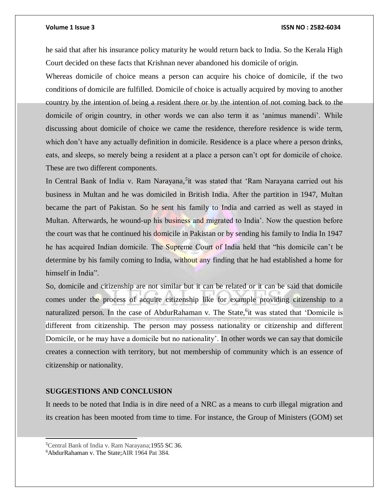he said that after his insurance policy maturity he would return back to India. So the Kerala High Court decided on these facts that Krishnan never abandoned his domicile of origin.

Whereas domicile of choice means a person can acquire his choice of domicile, if the two conditions of domicile are fulfilled. Domicile of choice is actually acquired by moving to another country by the intention of being a resident there or by the intention of not coming back to the domicile of origin country, in other words we can also term it as 'animus manendi'. While discussing about domicile of choice we came the residence, therefore residence is wide term, which don't have any actually definition in domicile. Residence is a place where a person drinks, eats, and sleeps, so merely being a resident at a place a person can't opt for domicile of choice. These are two different components.

In Central Bank of India v. Ram Narayana*, 5* it was stated that 'Ram Narayana carried out his business in Multan and he was domiciled in British India. After the partition in 1947, Multan became the part of Pakistan. So he sent his family to India and carried as well as stayed in Multan. Afterwards, he wound-up his business and migrated to India'. Now the question before the court was that he continued his domicile in Pakistan or by sending his family to India In 1947 he has acquired Indian domicile. The Supreme Court of India held that "his domicile can't be determine by his family coming to India, without any finding that he had established a home for himself in India".

So, domicile and citizenship are not similar but it can be related or it can be said that domicile comes under the process of acquire citizenship like for example providing citizenship to a naturalized person. In the case of AbdurRahaman v. The State, <sup>6</sup>it was stated that 'Domicile is different from citizenship. The person may possess nationality or citizenship and different Domicile, or he may have a domicile but no nationality'. In other words we can say that domicile creates a connection with territory, but not membership of community which is an essence of citizenship or nationality.

### **SUGGESTIONS AND CONCLUSION**

It needs to be noted that India is in dire need of a NRC as a means to curb illegal migration and its creation has been mooted from time to time. For instance, the Group of Ministers (GOM) set

l

<sup>5</sup>Central Bank of India v. Ram Narayana;1955 SC 36.

<sup>6</sup>AbdurRahaman v. The State;AIR 1964 Pat 384.